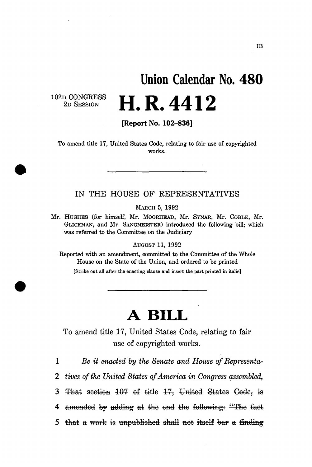## **Union Calendar No. 48 0 H.R.4412**

102D CONGRESS 2D SESSION

[Report No. 102-836]

To amend title 17, United States Code, relating to fair use of copyrighted works.

## IN THE HOUSE OF REPRESENTATIVES

MARCH 5, 1992

Mr. HUGHES (for himself, Mr. MOORHEAD, Mr. SYNAR, Mr. COBLE, Mr. GLICKMAN, and Mr. SANGMEISTER) introduced the following bill; which was referred to the Committee on the Judiciary

AUGUST 11, 1992

Reported with an amendment, committed to the Committee of the Whole House on the State of the Union, and ordered to be printed

[Strike out all after the enacting clause and insert the part printed in italic]

## **A BILL**

To amend title 17, United States Code, relating to fair use of copyrighted works.

1 *Be it enacted by the Senate and House of Representa-*

*2 tives of the United States of America in Congress assembled,* 

3 That section 107 of title 17, United States Gode, is 4 amended by adding at the end the following: "The fact 5 that a work is unpublished shall not itself bar a finding